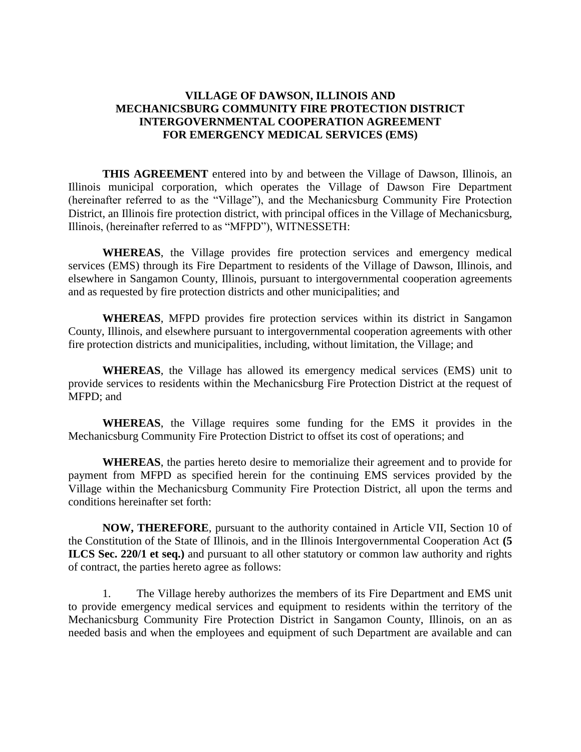## **VILLAGE OF DAWSON, ILLINOIS AND MECHANICSBURG COMMUNITY FIRE PROTECTION DISTRICT INTERGOVERNMENTAL COOPERATION AGREEMENT FOR EMERGENCY MEDICAL SERVICES (EMS)**

**THIS AGREEMENT** entered into by and between the Village of Dawson, Illinois, an Illinois municipal corporation, which operates the Village of Dawson Fire Department (hereinafter referred to as the "Village"), and the Mechanicsburg Community Fire Protection District, an Illinois fire protection district, with principal offices in the Village of Mechanicsburg, Illinois, (hereinafter referred to as "MFPD"), WITNESSETH:

**WHEREAS**, the Village provides fire protection services and emergency medical services (EMS) through its Fire Department to residents of the Village of Dawson, Illinois, and elsewhere in Sangamon County, Illinois, pursuant to intergovernmental cooperation agreements and as requested by fire protection districts and other municipalities; and

**WHEREAS**, MFPD provides fire protection services within its district in Sangamon County, Illinois, and elsewhere pursuant to intergovernmental cooperation agreements with other fire protection districts and municipalities, including, without limitation, the Village; and

**WHEREAS**, the Village has allowed its emergency medical services (EMS) unit to provide services to residents within the Mechanicsburg Fire Protection District at the request of MFPD; and

**WHEREAS**, the Village requires some funding for the EMS it provides in the Mechanicsburg Community Fire Protection District to offset its cost of operations; and

**WHEREAS**, the parties hereto desire to memorialize their agreement and to provide for payment from MFPD as specified herein for the continuing EMS services provided by the Village within the Mechanicsburg Community Fire Protection District, all upon the terms and conditions hereinafter set forth:

**NOW, THEREFORE**, pursuant to the authority contained in Article VII, Section 10 of the Constitution of the State of Illinois, and in the Illinois Intergovernmental Cooperation Act **(5 ILCS Sec. 220/1 et seq.)** and pursuant to all other statutory or common law authority and rights of contract, the parties hereto agree as follows:

1. The Village hereby authorizes the members of its Fire Department and EMS unit to provide emergency medical services and equipment to residents within the territory of the Mechanicsburg Community Fire Protection District in Sangamon County, Illinois, on an as needed basis and when the employees and equipment of such Department are available and can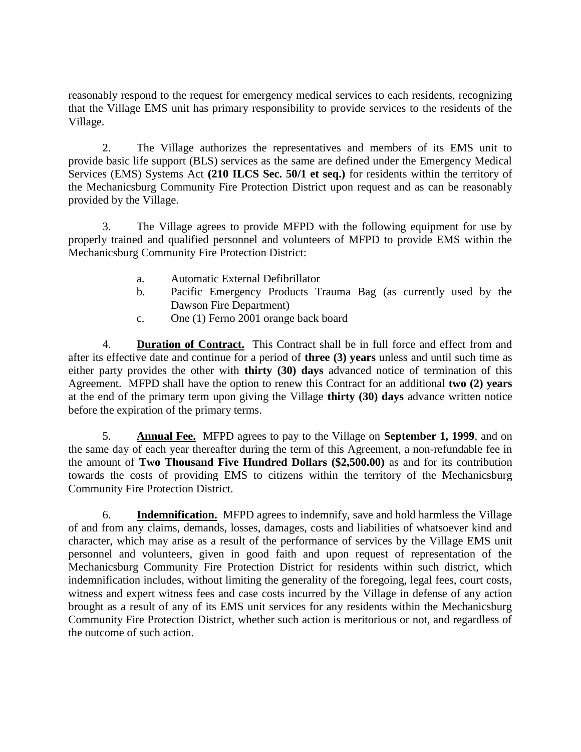reasonably respond to the request for emergency medical services to each residents, recognizing that the Village EMS unit has primary responsibility to provide services to the residents of the Village.

2. The Village authorizes the representatives and members of its EMS unit to provide basic life support (BLS) services as the same are defined under the Emergency Medical Services (EMS) Systems Act **(210 ILCS Sec. 50/1 et seq.)** for residents within the territory of the Mechanicsburg Community Fire Protection District upon request and as can be reasonably provided by the Village.

3. The Village agrees to provide MFPD with the following equipment for use by properly trained and qualified personnel and volunteers of MFPD to provide EMS within the Mechanicsburg Community Fire Protection District:

- a. Automatic External Defibrillator
- b. Pacific Emergency Products Trauma Bag (as currently used by the Dawson Fire Department)
- c. One (1) Ferno 2001 orange back board

4. **Duration of Contract.** This Contract shall be in full force and effect from and after its effective date and continue for a period of **three (3) years** unless and until such time as either party provides the other with **thirty (30) days** advanced notice of termination of this Agreement. MFPD shall have the option to renew this Contract for an additional **two (2) years** at the end of the primary term upon giving the Village **thirty (30) days** advance written notice before the expiration of the primary terms.

5. **Annual Fee.** MFPD agrees to pay to the Village on **September 1, 1999**, and on the same day of each year thereafter during the term of this Agreement, a non-refundable fee in the amount of **Two Thousand Five Hundred Dollars (\$2,500.00)** as and for its contribution towards the costs of providing EMS to citizens within the territory of the Mechanicsburg Community Fire Protection District.

6. **Indemnification.** MFPD agrees to indemnify, save and hold harmless the Village of and from any claims, demands, losses, damages, costs and liabilities of whatsoever kind and character, which may arise as a result of the performance of services by the Village EMS unit personnel and volunteers, given in good faith and upon request of representation of the Mechanicsburg Community Fire Protection District for residents within such district, which indemnification includes, without limiting the generality of the foregoing, legal fees, court costs, witness and expert witness fees and case costs incurred by the Village in defense of any action brought as a result of any of its EMS unit services for any residents within the Mechanicsburg Community Fire Protection District, whether such action is meritorious or not, and regardless of the outcome of such action.